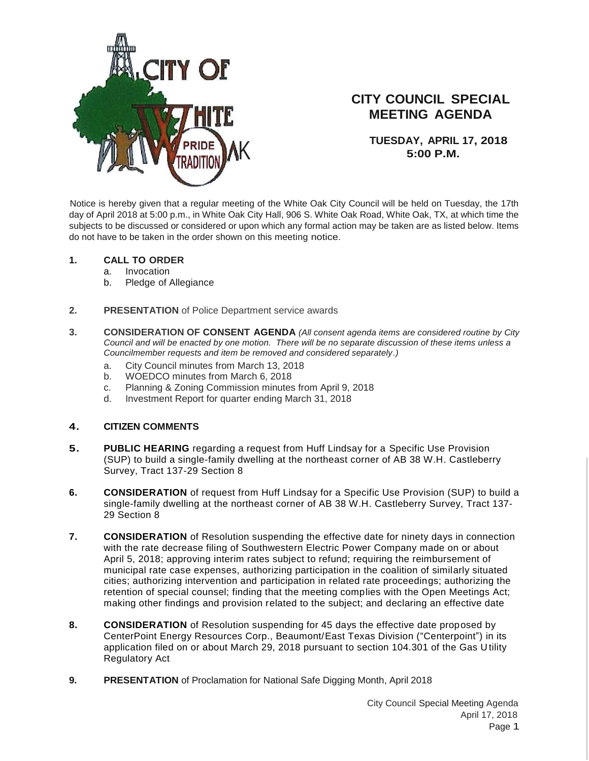

# **CITY COUNCIL SPECIAL MEETING AGENDA**

**TUESDAY, APRIL 17, 2018 5:00 P.M.**

Notice is hereby given that a regular meeting of the White Oak City Council will be held on Tuesday, the 17th day of April 2018 at 5:00 p.m., in White Oak City Hall, 906 S. White Oak Road, White Oak, TX, at which time the subjects to be discussed or considered or upon which any formal action may be taken are as listed below. Items do not have to be taken in the order shown on this meeting notice.

#### **1. CALL TO ORDER**

- a. Invocation
- b. Pledge of Allegiance
- **2. PRESENTATION** of Police Department service awards
- **3. CONSIDERATION OF CONSENT AGENDA** *(All consent agenda items are considered routine by City Council and will be enacted by one motion. There will be no separate discussion of these items unless a Councilmember requests and item be removed and considered separately.)*
	- a. City Council minutes from March 13, 2018
	- b. WOEDCO minutes from March 6, 2018
	- c. Planning & Zoning Commission minutes from April 9, 2018
	- d. Investment Report for quarter ending March 31, 2018

#### **4. CITIZEN COMMENTS**

- **5. PUBLIC HEARING** regarding a request from Huff Lindsay for a Specific Use Provision (SUP) to build a single-family dwelling at the northeast corner of AB 38 W.H. Castleberry Survey, Tract 137-29 Section 8
- **6. CONSIDERATION** of request from Huff Lindsay for a Specific Use Provision (SUP) to build a single-family dwelling at the northeast corner of AB 38 W.H. Castleberry Survey, Tract 137- 29 Section 8
- **7. CONSIDERATION** of Resolution suspending the effective date for ninety days in connection with the rate decrease filing of Southwestern Electric Power Company made on or about April 5, 2018; approving interim rates subject to refund; requiring the reimbursement of municipal rate case expenses, authorizing participation in the coalition of similarly situated cities; authorizing intervention and participation in related rate proceedings; authorizing the retention of special counsel; finding that the meeting complies with the Open Meetings Act; making other findings and provision related to the subject; and declaring an effective date
- **8. CONSIDERATION** of Resolution suspending for 45 days the effective date proposed by CenterPoint Energy Resources Corp., Beaumont/East Texas Division ("Centerpoint") in its application filed on or about March 29, 2018 pursuant to section 104.301 of the Gas U tility Regulatory Act
- **9. PRESENTATION** of Proclamation for National Safe Digging Month, April 2018